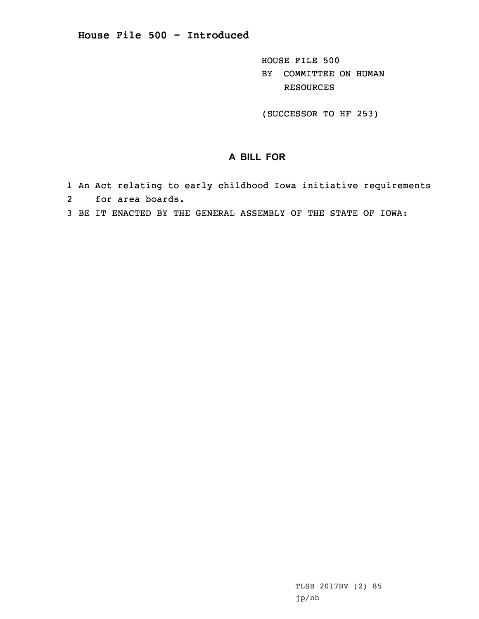HOUSE FILE 500 BY COMMITTEE ON HUMAN RESOURCES

(SUCCESSOR TO HF 253)

## **A BILL FOR**

- 1 An Act relating to early childhood Iowa initiative requirements 2 for area boards.
- 3 BE IT ENACTED BY THE GENERAL ASSEMBLY OF THE STATE OF IOWA: